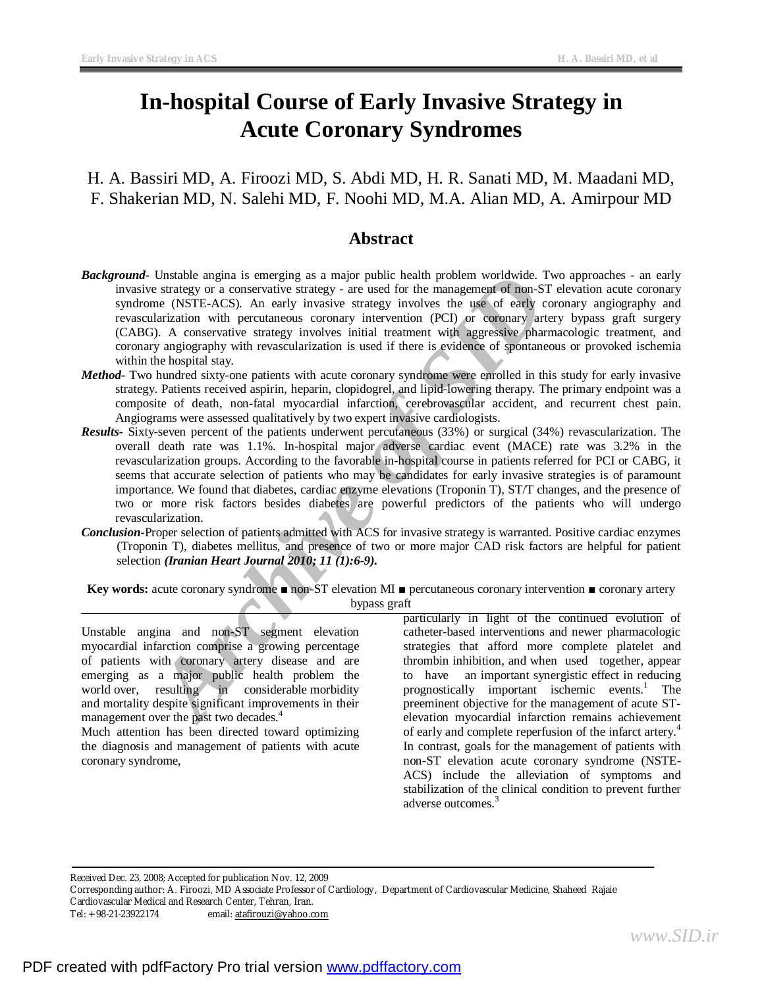# **In-hospital Course of Early Invasive Strategy in Acute Coronary Syndromes**

# H. A. Bassiri MD, A. Firoozi MD, S. Abdi MD, H. R. Sanati MD, M. Maadani MD, F. Shakerian MD, N. Salehi MD, F. Noohi MD, M.A. Alian MD, A. Amirpour MD

# **Abstract**

- *Background-* Unstable angina is emerging as a major public health problem worldwide. Two approaches an early invasive strategy or a conservative strategy - are used for the management of non-ST elevation acute coronary syndrome (NSTE-ACS). An early invasive strategy involves the use of early coronary angiography and revascularization with percutaneous coronary intervention (PCI) or coronary artery bypass graft surgery (CABG). A conservative strategy involves initial treatment with aggressive pharmacologic treatment, and coronary angiography with revascularization is used if there is evidence of spontaneous or provoked ischemia within the hospital stay.
- *Method-* Two hundred sixty-one patients with acute coronary syndrome were enrolled in this study for early invasive strategy. Patients received aspirin, heparin, clopidogrel, and lipid-lowering therapy. The primary endpoint was a composite of death, non-fatal myocardial infarction, cerebrovascular accident, and recurrent chest pain. Angiograms were assessed qualitatively by two expert invasive cardiologists.
- Unstalle aigna is emerging as a major public health problem worldwide. Two clusters estategy or a conservative strategy are used for the management of non-ST eleme (NSTE-ACS). An early invasive strategy involves the use *Results-* Sixty-seven percent of the patients underwent percutaneous (33%) or surgical (34%) revascularization. The overall death rate was 1.1%. In-hospital major adverse cardiac event (MACE) rate was 3.2% in the revascularization groups. According to the favorable in-hospital course in patients referred for PCI or CABG, it seems that accurate selection of patients who may be candidates for early invasive strategies is of paramount importance. We found that diabetes, cardiac enzyme elevations (Troponin T), ST/T changes, and the presence of two or more risk factors besides diabetes are powerful predictors of the patients who will undergo revascularization.
- *Conclusion-*Proper selection of patients admitted with ACS for invasive strategy is warranted. Positive cardiac enzymes (Troponin T), diabetes mellitus, and presence of two or more major CAD risk factors are helpful for patient selection *(Iranian Heart Journal 2010; 11 (1):6-9).*

**Key words:** acute coronary syndrome ■ non-ST elevation MI ■ percutaneous coronary intervention ■ coronary artery bypass graft

Unstable angina and non-ST segment elevation myocardial infarction comprise a growing percentage of patients with coronary artery disease and are emerging as a major public health problem the world over, resulting in considerable morbidity and mortality despite significant improvements in their management over the past two decades.<sup>4</sup>

Much attention has been directed toward optimizing the diagnosis and management of patients with acute coronary syndrome,

particularly in light of the continued evolution of catheter-based interventions and newer pharmacologic strategies that afford more complete platelet and thrombin inhibition, and when used together, appear to have an important synergistic effect in reducing prognostically important ischemic events.<sup>1</sup> The preeminent objective for the management of acute STelevation myocardial infarction remains achievement of early and complete reperfusion of the infarct artery. 4 In contrast, goals for the management of patients with non-ST elevation acute coronary syndrome (NSTE-ACS) include the alleviation of symptoms and stabilization of the clinical condition to prevent further adverse outcomes.<sup>3</sup>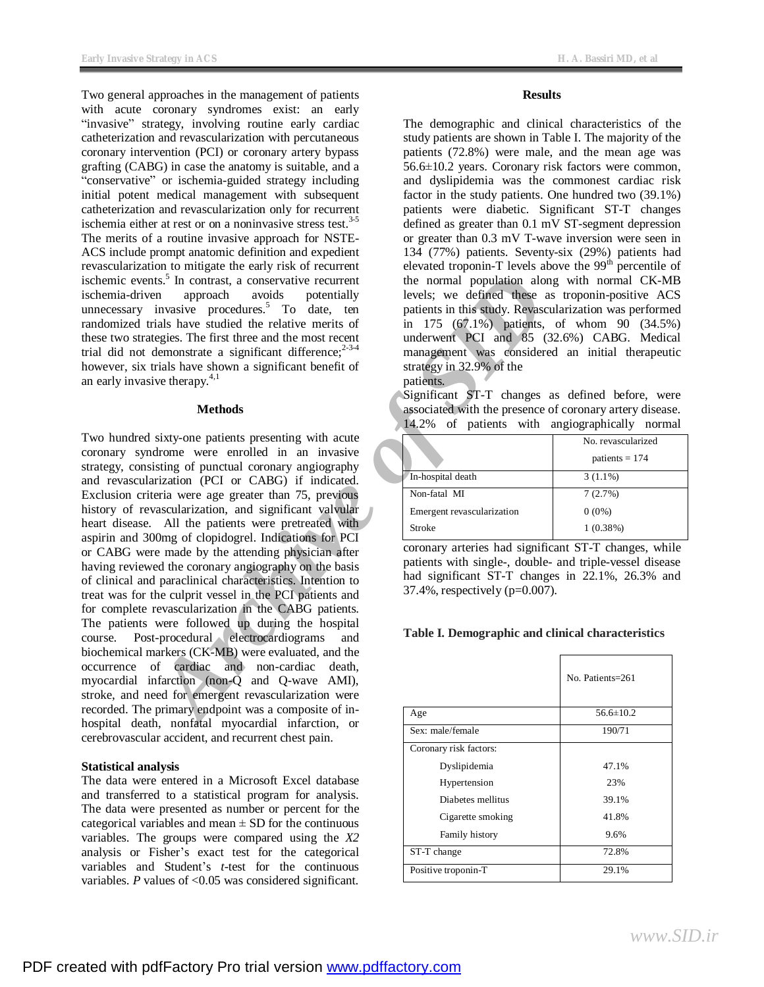Two general approaches in the management of patients with acute coronary syndromes exist: an early "invasive" strategy, involving routine early cardiac catheterization and revascularization with percutaneous coronary intervention (PCI) or coronary artery bypass grafting (CABG) in case the anatomy is suitable, and a "conservative" or ischemia-guided strategy including initial potent medical management with subsequent catheterization and revascularization only for recurrent ischemia either at rest or on a noninvasive stress test. $3-5$ The merits of a routine invasive approach for NSTE-ACS include prompt anatomic definition and expedient revascularization to mitigate the early risk of recurrent ischemic events.<sup>5</sup> In contrast, a conservative recurrent ischemia-driven approach avoids potentially unnecessary invasive procedures.<sup>5</sup> To date, ten randomized trials have studied the relative merits of these two strategies. The first three and the most recent trial did not demonstrate a significant difference;<sup>2-3-4</sup> however, six trials have shown a significant benefit of an early invasive therapy. $4,1$ 

#### **Methods**

**Archive Solution** the normal population along v<br>
invariate procedures,<sup>2</sup> To date, ten<br>
invariate procedures,<sup>2</sup> To date, ten<br>
invariate heative metrics of the first of the relative metrics of the state of<br>
trains have st Two hundred sixty-one patients presenting with acute coronary syndrome were enrolled in an invasive strategy, consisting of punctual coronary angiography and revascularization (PCI or CABG) if indicated. Exclusion criteria were age greater than 75, previous history of revascularization, and significant valvular heart disease. All the patients were pretreated with aspirin and 300mg of clopidogrel. Indications for PCI or CABG were made by the attending physician after having reviewed the coronary angiography on the basis of clinical and paraclinical characteristics. Intention to treat was for the culprit vessel in the PCI patients and for complete revascularization in the CABG patients. The patients were followed up during the hospital course. Post-procedural electrocardiograms and biochemical markers (CK-MB) were evaluated, and the occurrence of cardiac and non-cardiac death, myocardial infarction (non-Q and Q-wave AMI), stroke, and need for emergent revascularization were recorded. The primary endpoint was a composite of inhospital death, nonfatal myocardial infarction, or cerebrovascular accident, and recurrent chest pain.

### **Statistical analysis**

The data were entered in a Microsoft Excel database and transferred to a statistical program for analysis. The data were presented as number or percent for the categorical variables and mean  $\pm$  SD for the continuous variables. The groups were compared using the *X2* analysis or Fisher's exact test for the categorical variables and Student's *t*-test for the continuous variables. *P* values of <0.05 was considered significant.

#### **Results**

The demographic and clinical characteristics of the study patients are shown in Table I. The majority of the patients (72.8%) were male, and the mean age was 56.6±10.2 years. Coronary risk factors were common, and dyslipidemia was the commonest cardiac risk factor in the study patients. One hundred two (39.1%) patients were diabetic. Significant ST-T changes defined as greater than 0.1 mV ST-segment depression or greater than 0.3 mV T-wave inversion were seen in 134 (77%) patients. Seventy-six (29%) patients had elevated troponin-T levels above the  $99<sup>th</sup>$  percentile of the normal population along with normal CK-MB levels; we defined these as troponin-positive ACS patients in this study. Revascularization was performed in 175 (67.1%) patients, of whom 90 (34.5%) underwent PCI and 85 (32.6%) CABG. Medical management was considered an initial therapeutic strategy in 32.9% of the

patients. Significant ST-T changes as defined before, were associated with the presence of coronary artery disease. 14.2% of patients with angiographically normal

|                            | .                  |
|----------------------------|--------------------|
|                            | No. revascularized |
|                            | patients $= 174$   |
| In-hospital death          | $3(1.1\%)$         |
| Non-fatal MI               | 7(2.7%)            |
| Emergent revascularization | $0(0\%)$           |
| Stroke                     | $1(0.38\%)$        |
|                            |                    |

coronary arteries had significant ST-T changes, while patients with single-, double- and triple-vessel disease had significant ST-T changes in 22.1%, 26.3% and 37.4%, respectively (p=0.007).

#### **Table I. Demographic and clinical characteristics**

|                        | No. Patients=261 |
|------------------------|------------------|
| Age                    | $56.6 \pm 10.2$  |
| Sex: male/female       | 190/71           |
| Coronary risk factors: |                  |
| Dyslipidemia           | 47.1%            |
| Hypertension           | 23%              |
| Diabetes mellitus      | 39.1%            |
| Cigarette smoking      | 41.8%            |
| Family history         | 9.6%             |
| ST-T change            | 72.8%            |
| Positive troponin-T    | 29.1%            |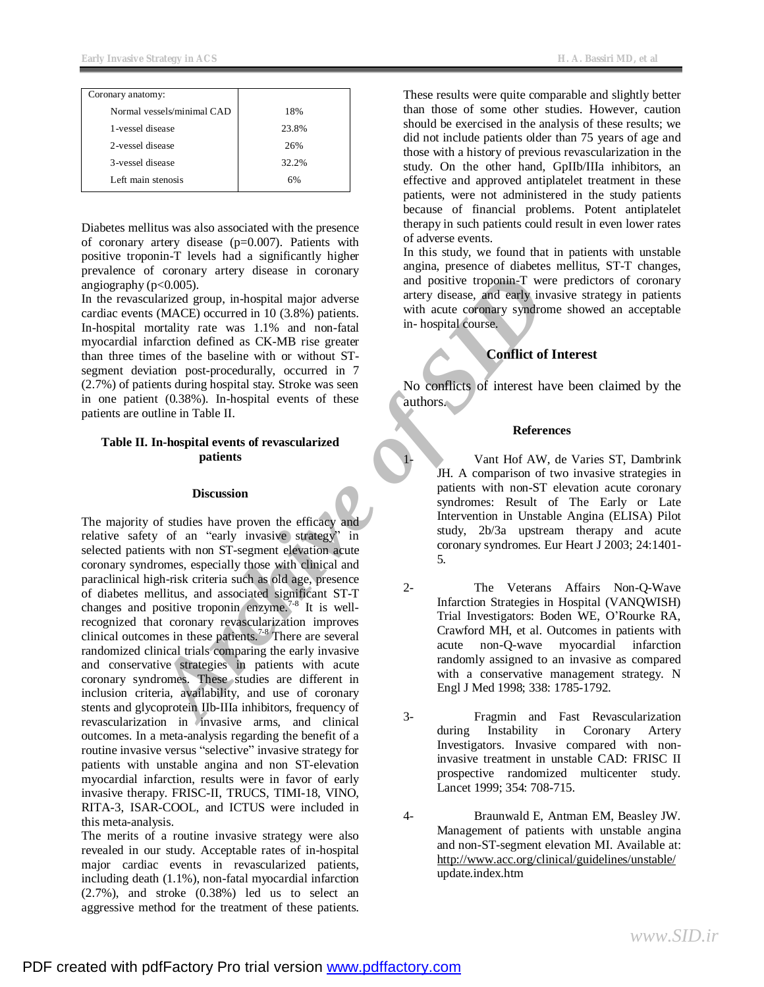| Coronary anatomy:          |       |
|----------------------------|-------|
| Normal vessels/minimal CAD | 18%   |
| 1-vessel disease           | 23.8% |
| 2-vessel disease           | 26%   |
| 3-vessel disease           | 32.2% |
| Left main stenosis         | 6%    |

Diabetes mellitus was also associated with the presence of coronary artery disease  $(p=0.007)$ . Patients with positive troponin-T levels had a significantly higher prevalence of coronary artery disease in coronary angiography ( $p<0.005$ ).

In the revascularized group, in-hospital major adverse cardiac events (MACE) occurred in 10 (3.8%) patients. In-hospital mortality rate was 1.1% and non-fatal myocardial infarction defined as CK-MB rise greater than three times of the baseline with or without STsegment deviation post-procedurally, occurred in 7 (2.7%) of patients during hospital stay. Stroke was seen in one patient (0.38%). In-hospital events of these patients are outline in Table II.

## **Table II. In-hospital events of revascularized patients**

#### **Discussion**

Training and positive troponin-T were p<br>
pc.0.005).<br>
Archive of MACE occurred in 10 (3.8% patients.<br>
interaction defined as CK-MB rise area and easily invariant<br>
in hospital course, and archive transportantly reade with a The majority of studies have proven the efficacy and relative safety of an "early invasive strategy" in selected patients with non ST-segment elevation acute coronary syndromes, especially those with clinical and paraclinical high-risk criteria such as old age, presence of diabetes mellitus, and associated significant ST-T changes and positive troponin enzyme.<sup>7-8</sup> It is wellrecognized that coronary revascularization improves clinical outcomes in these patients.<sup>7-8</sup> There are several randomized clinical trials comparing the early invasive and conservative strategies in patients with acute coronary syndromes. These studies are different in inclusion criteria, availability, and use of coronary stents and glycoprotein IIb-IIIa inhibitors, frequency of revascularization in invasive arms, and clinical outcomes. In a meta-analysis regarding the benefit of a routine invasive versus "selective" invasive strategy for patients with unstable angina and non ST-elevation myocardial infarction, results were in favor of early invasive therapy. FRISC-II, TRUCS, TIMI-18, VINO, RITA-3, ISAR-COOL, and ICTUS were included in this meta-analysis.

The merits of a routine invasive strategy were also revealed in our study. Acceptable rates of in-hospital major cardiac events in revascularized patients, including death (1.1%), non-fatal myocardial infarction (2.7%), and stroke (0.38%) led us to select an aggressive method for the treatment of these patients. These results were quite comparable and slightly better than those of some other studies. However, caution should be exercised in the analysis of these results; we did not include patients older than 75 years of age and those with a history of previous revascularization in the study. On the other hand, GpIIb/IIIa inhibitors, an effective and approved antiplatelet treatment in these patients, were not administered in the study patients because of financial problems. Potent antiplatelet therapy in such patients could result in even lower rates of adverse events.

In this study, we found that in patients with unstable angina, presence of diabetes mellitus, ST-T changes, and positive troponin-T were predictors of coronary artery disease, and early invasive strategy in patients with acute coronary syndrome showed an acceptable in- hospital course.

## **Conflict of Interest**

No conflicts of interest have been claimed by the authors.

## **References**

Vant Hof AW, de Varies ST, Dambrink JH. A comparison of two invasive strategies in patients with non-ST elevation acute coronary syndromes: Result of The Early or Late Intervention in Unstable Angina (ELISA) Pilot study, 2b/3a upstream therapy and acute coronary syndromes. Eur Heart J 2003; 24:1401- 5.

- 2- The Veterans Affairs Non-Q-Wave Infarction Strategies in Hospital (VANQWISH) Trial Investigators: Boden WE, O'Rourke RA, Crawford MH, et al. Outcomes in patients with acute non-Q-wave myocardial infarction randomly assigned to an invasive as compared with a conservative management strategy. N Engl J Med 1998; 338: 1785-1792.
- 3- Fragmin and Fast Revascularization during Instability in Coronary Artery Investigators. Invasive compared with noninvasive treatment in unstable CAD: FRISC II prospective randomized multicenter study. Lancet 1999; 354: 708-715.
- 4- Braunwald E, Antman EM, Beasley JW. Management of patients with unstable angina and non-ST-segment elevation MI. Available at: <http://www.acc.org/clinical/guidelines/unstable/> update.index.htm